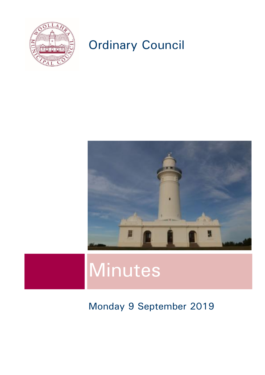

## Ordinary Council



# Minutes

## Monday 9 September 2019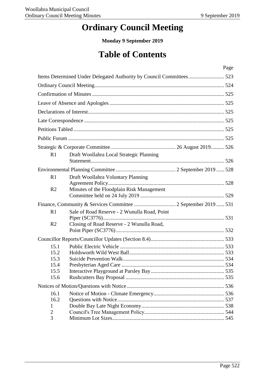## **Ordinary Council Meeting**

**Monday 9 September 2019**

## **Table of Contents**

|                |                                              | Page |
|----------------|----------------------------------------------|------|
|                |                                              |      |
|                |                                              |      |
|                |                                              |      |
|                |                                              |      |
|                |                                              |      |
|                |                                              |      |
|                |                                              |      |
|                |                                              |      |
|                |                                              |      |
| R1             | Draft Woollahra Local Strategic Planning     |      |
|                |                                              |      |
|                |                                              |      |
| R1             | Draft Woollahra Voluntary Planning           |      |
| R <sub>2</sub> | Minutes of the Floodplain Risk Management    |      |
|                |                                              |      |
|                |                                              |      |
| R <sub>1</sub> | Sale of Road Reserve - 2 Wunulla Road, Point |      |
|                |                                              |      |
| R <sub>2</sub> | Closing of Road Reserve - 2 Wunulla Road,    |      |
|                |                                              |      |
| 15.1           |                                              |      |
| 15.2           |                                              |      |
| 15.3           |                                              |      |
| 15.4           |                                              |      |
| 15.5           |                                              |      |
| 15.6           |                                              |      |
|                |                                              |      |
| 16.1           |                                              |      |
| 16.2           |                                              |      |
| 1              |                                              |      |
| $\overline{2}$ |                                              |      |
| 3              |                                              |      |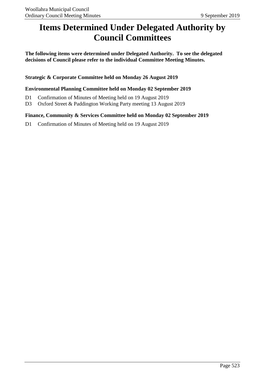## <span id="page-2-0"></span>**Items Determined Under Delegated Authority by Council Committees**

**The following items were determined under Delegated Authority. To see the delegated decisions of Council please refer to the individual Committee Meeting Minutes.**

**Strategic & Corporate Committee held on Monday 26 August 2019**

### **Environmental Planning Committee held on Monday 02 September 2019**

- D1 Confirmation of Minutes of Meeting held on 19 August 2019
- D3 Oxford Street & Paddington Working Party meeting 13 August 2019

### **Finance, Community & Services Committee held on Monday 02 September 2019**

D1 Confirmation of Minutes of Meeting held on 19 August 2019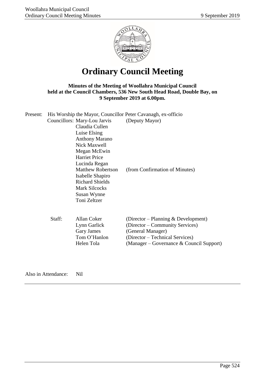

## **Ordinary Council Meeting**

### <span id="page-3-0"></span>**Minutes of the Meeting of Woollahra Municipal Council held at the Council Chambers, 536 New South Head Road, Double Bay, on 9 September 2019 at 6.00pm.**

| Present: |        |                                                                                                                               | His Worship the Mayor, Councillor Peter Cavanagh, ex-officio                                                                                                                    |
|----------|--------|-------------------------------------------------------------------------------------------------------------------------------|---------------------------------------------------------------------------------------------------------------------------------------------------------------------------------|
|          |        | Councillors: Mary-Lou Jarvis<br>Claudia Cullen                                                                                | (Deputy Mayor)                                                                                                                                                                  |
|          |        | Luise Elsing<br><b>Anthony Marano</b>                                                                                         |                                                                                                                                                                                 |
|          |        | Nick Maxwell<br>Megan McEwin                                                                                                  |                                                                                                                                                                                 |
|          |        | <b>Harriet Price</b><br>Lucinda Regan                                                                                         |                                                                                                                                                                                 |
|          |        | <b>Matthew Robertson</b><br>Isabelle Shapiro<br><b>Richard Shields</b><br><b>Mark Silcocks</b><br>Susan Wynne<br>Toni Zeltzer | (from Confirmation of Minutes)                                                                                                                                                  |
|          | Staff: | Allan Coker<br>Lynn Garlick<br>Gary James<br>Tom O'Hanlon<br>Helen Tola                                                       | (Director – Planning $&$ Development)<br>(Director – Community Services)<br>(General Manager)<br>(Director – Technical Services)<br>(Manager – Governance $\&$ Council Support) |
|          |        |                                                                                                                               |                                                                                                                                                                                 |

Also in Attendance: Nil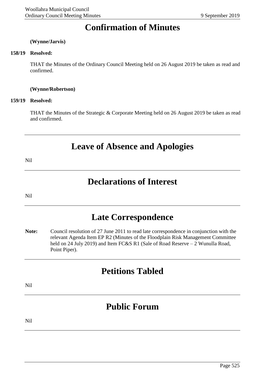## **Confirmation of Minutes**

#### <span id="page-4-0"></span>**(Wynne/Jarvis)**

#### **158/19 Resolved:**

THAT the Minutes of the Ordinary Council Meeting held on 26 August 2019 be taken as read and confirmed.

#### **(Wynne/Robertson)**

#### **159/19 Resolved:**

THAT the Minutes of the Strategic & Corporate Meeting held on 26 August 2019 be taken as read and confirmed.

### **Leave of Absence and Apologies**

<span id="page-4-1"></span>Nil

### **Declarations of Interest**

<span id="page-4-2"></span>Nil

### **Late Correspondence**

<span id="page-4-3"></span>**Note:** Council resolution of 27 June 2011 to read late correspondence in conjunction with the relevant Agenda Item EP R2 (Minutes of the Floodplain Risk Management Committee held on 24 July 2019) and Item FC&S R1 (Sale of Road Reserve - 2 Wunulla Road, Point Piper).

### **Petitions Tabled**

<span id="page-4-4"></span>Nil

## **Public Forum**

<span id="page-4-5"></span>Nil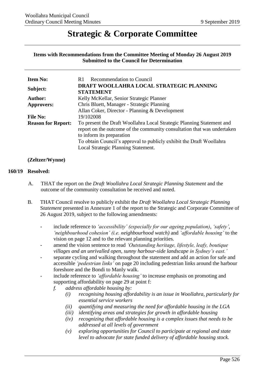### <span id="page-5-1"></span>**Strategic & Corporate Committee**

#### <span id="page-5-0"></span>**Items with Recommendations from the Committee Meeting of Monday 26 August 2019 Submitted to the Council for Determination**

| <b>Item No:</b>           | <b>Recommendation to Council</b><br>R1                                                                                                                                                                                                                                                       |
|---------------------------|----------------------------------------------------------------------------------------------------------------------------------------------------------------------------------------------------------------------------------------------------------------------------------------------|
| Subject:                  | DRAFT WOOLLAHRA LOCAL STRATEGIC PLANNING<br><b>STATEMENT</b>                                                                                                                                                                                                                                 |
| <b>Author:</b>            | Kelly McKellar, Senior Strategic Planner                                                                                                                                                                                                                                                     |
| <b>Approvers:</b>         | Chris Bluett, Manager - Strategic Planning                                                                                                                                                                                                                                                   |
|                           | Allan Coker, Director - Planning & Development                                                                                                                                                                                                                                               |
| <b>File No:</b>           | 19/102008                                                                                                                                                                                                                                                                                    |
| <b>Reason for Report:</b> | To present the Draft Woollahra Local Strategic Planning Statement and<br>report on the outcome of the community consultation that was undertaken<br>to inform its preparation<br>To obtain Council's approval to publicly exhibit the Draft Woollahra<br>Local Strategic Planning Statement. |

#### **(Zeltzer/Wynne)**

#### **160/19 Resolved:**

- A. THAT the report on the *Draft Woollahra Local Strategic Planning Statement* and the outcome of the community consultation be received and noted.
- B. THAT Council resolve to publicly exhibit the *Draft Woollahra Local Strategic Planning* S*tatement* presented in Annexure 1 of the report to the Strategic and Corporate Committee of 26 August 2019, subject to the following amendments:
	- include reference to *'accessibility' (especially for our ageing population)*, *'safety'*, *'neighbourhood cohesion' (i.e. neighbourhood watch)* and *'affordable housing'* to the vision on page 12 and to the relevant planning priorities.
	- amend the vision sentence to read *'Outstanding heritage, lifestyle, leafy, boutique villages and an unrivalled open, sunny harbour-side landscape in Sydney's east.'*
	- separate cycling and walking throughout the statement and add an action for safe and accessible *'pedestrian links'* on page 20 including pedestrian links around the harbour foreshore and the Bondi to Manly walk.
	- include reference to *'affordable housing'* to increase emphasis on promoting and supporting affordability on page 29 at point f:
		- *f. address affordable housing by:*
			- *(i) recognising housing affordability is an issue in Woollahra, particularly for essential service workers*
			- *(ii) quantifying and measuring the need for affordable housing in the LGA*
			- *(iii) identifying areas and strategies for growth in affordable housing*
			- *(iv) recognizing that affordable housing is a complex issues that needs to be addressed at all levels of government*
			- *(v) exploring opportunities for Council to participate at regional and state level to advocate for state funded delivery of affordable housing stock.*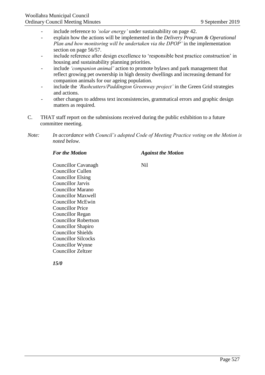- include reference to *'solar energy'* under sustainability on page 42.
- explain how the actions will be implemented in the *Delivery Program & Operational Plan and how monitoring will be undertaken via the DPOP'* in the implementation section on page 56/57.
- include reference after design excellence to 'responsible best practice construction' in housing and sustainability planning priorities.
- include *'companion animal'* action to promote bylaws and park management that reflect growing pet ownership in high density dwellings and increasing demand for companion animals for our ageing population.
- include the *'Rushcutters/Paddington Greenway project'* in the Green Grid strategies and actions.
- other changes to address text inconsistencies, grammatical errors and graphic design matters as required.
- C. THAT staff report on the submissions received during the public exhibition to a future committee meeting.
- *Note: In accordance with Council's adopted Code of Meeting Practice voting on the Motion is noted below.*

#### *For the Motion Against the Motion*

Councillor Cavanagh Nil Councillor Cullen Councillor Elsing Councillor Jarvis Councillor Marano Councillor Maxwell Councillor McEwin Councillor Price Councillor Regan Councillor Robertson Councillor Shapiro Councillor Shields Councillor Silcocks Councillor Wynne Councillor Zeltzer

*15/0*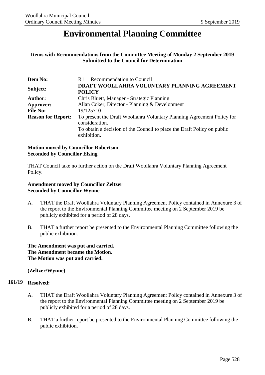### <span id="page-7-1"></span>**Environmental Planning Committee**

#### <span id="page-7-0"></span>**Items with Recommendations from the Committee Meeting of Monday 2 September 2019 Submitted to the Council for Determination**

| <b>Item No:</b>           | <b>Recommendation to Council</b><br>R1                                                                                                                                             |  |  |
|---------------------------|------------------------------------------------------------------------------------------------------------------------------------------------------------------------------------|--|--|
| Subject:                  | DRAFT WOOLLAHRA VOLUNTARY PLANNING AGREEMENT<br><b>POLICY</b>                                                                                                                      |  |  |
| Author:                   | Chris Bluett, Manager - Strategic Planning                                                                                                                                         |  |  |
| Approver:                 | Allan Coker, Director - Planning & Development                                                                                                                                     |  |  |
| <b>File No:</b>           | 19/125710                                                                                                                                                                          |  |  |
| <b>Reason for Report:</b> | To present the Draft Woollahra Voluntary Planning Agreement Policy for<br>consideration.<br>To obtain a decision of the Council to place the Draft Policy on public<br>exhibition. |  |  |

#### **Motion moved by Councillor Robertson Seconded by Councillor Elsing**

THAT Council take no further action on the Draft Woollahra Voluntary Planning Agreement Policy.

### **Amendment moved by Councillor Zeltzer Seconded by Councillor Wynne**

- A. THAT the Draft Woollahra Voluntary Planning Agreement Policy contained in Annexure 3 of the report to the Environmental Planning Committee meeting on 2 September 2019 be publicly exhibited for a period of 28 days.
- B. THAT a further report be presented to the Environmental Planning Committee following the public exhibition.

**The Amendment was put and carried. The Amendment became the Motion. The Motion was put and carried.**

### **(Zeltzer/Wynne)**

#### **161/19 Resolved:**

- A. THAT the Draft Woollahra Voluntary Planning Agreement Policy contained in Annexure 3 of the report to the Environmental Planning Committee meeting on 2 September 2019 be publicly exhibited for a period of 28 days.
- B. THAT a further report be presented to the Environmental Planning Committee following the public exhibition.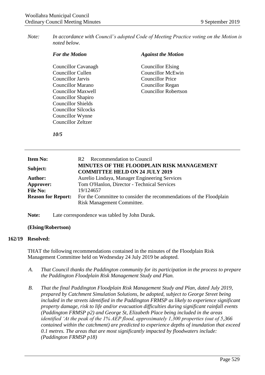*Note: In accordance with Council's adopted Code of Meeting Practice voting on the Motion is noted below.*

| <b>For the Motion</b>      | <b>Against the Motion</b>   |
|----------------------------|-----------------------------|
| Councillor Cavanagh        | <b>Councillor Elsing</b>    |
| Councillor Cullen          | <b>Councillor McEwin</b>    |
| Councillor Jarvis          | Councillor Price            |
| Councillor Marano          | Councillor Regan            |
| Councillor Maxwell         | <b>Councillor Robertson</b> |
| Councillor Shapiro         |                             |
| <b>Councillor Shields</b>  |                             |
| <b>Councillor Silcocks</b> |                             |
| Councillor Wynne           |                             |
| Councillor Zeltzer         |                             |

<span id="page-8-0"></span>*10/5*

| <b>Item No:</b>           | R <sub>2</sub> Recommendation to Council                                                          |
|---------------------------|---------------------------------------------------------------------------------------------------|
| Subject:                  | MINUTES OF THE FLOODPLAIN RISK MANAGEMENT<br><b>COMMITTEE HELD ON 24 JULY 2019</b>                |
| <b>Author:</b>            | Aurelio Lindaya, Manager Engineering Services                                                     |
| Approver:                 | Tom O'Hanlon, Director - Technical Services                                                       |
| <b>File No:</b>           | 19/124657                                                                                         |
| <b>Reason for Report:</b> | For the Committee to consider the recommendations of the Floodplain<br>Risk Management Committee. |

**Note:** Late correspondence was tabled by John Durak.

**(Elsing/Robertson)**

#### **162/19 Resolved:**

THAT the following recommendations contained in the minutes of the Floodplain Risk Management Committee held on Wednesday 24 July 2019 be adopted.

- *A. That Council thanks the Paddington community for its participation in the process to prepare the Paddington Floodplain Risk Management Study and Plan.*
- *B. That the final Paddington Floodplain Risk Management Study and Plan, dated July 2019, prepared by Catchment Simulation Solutions, be adopted, subject to George Street being included in the streets identified in the Paddington FRMSP as likely to experience significant property damage, risk to life and/or evacuation difficulties during significant rainfall events (Paddington FRMSP p2) and George St, Elizabeth Place being included in the areas identified 'At the peak of the 1% AEP flood, approximately 1,300 properties (out of 5,366 contained within the catchment) are predicted to experience depths of inundation that exceed 0.1 metres. The areas that are most significantly impacted by floodwaters include: (Paddington FRMSP p18)*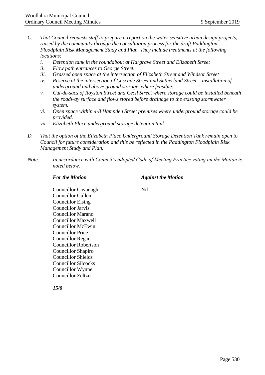- *C. That Council requests staff to prepare a report on the water sensitive urban design projects, raised by the community through the consultation process for the draft Paddington Floodplain Risk Management Study and Plan. They include treatments at the following locations:* 
	- *i. Detention tank in the roundabout at Hargrave Street and Elizabeth Street*
	- *ii. Flow path entrances to George Street.*
	- *iii. Grassed open space at the intersection of Elizabeth Street and Windsor Street*
	- *iv. Reserve at the intersection of Cascade Street and Sutherland Street – installation of underground and above ground storage, where feasible.*
	- *v. Cul-de-sacs of Royston Street and Cecil Street where storage could be installed beneath the roadway surface and flows stored before drainage to the existing stormwater system.*
	- *vi. Open space within 4-8 Hampden Street premises where underground storage could be provided.*
	- *vii. Elizabeth Place underground storage detention tank.*
- *D. That the option of the Elizabeth Place Underground Storage Detention Tank remain open to Council for future consideration and this be reflected in the Paddington Floodplain Risk Management Study and Plan.*
- *Note: In accordance with Council's adopted Code of Meeting Practice voting on the Motion is noted below.*

#### *For the Motion Against the Motion*

Councillor Cavanagh Nil Councillor Cullen Councillor Elsing Councillor Jarvis Councillor Marano Councillor Maxwell Councillor McEwin Councillor Price Councillor Regan Councillor Robertson Councillor Shapiro Councillor Shields Councillor Silcocks Councillor Wynne

*15/0*

Councillor Zeltzer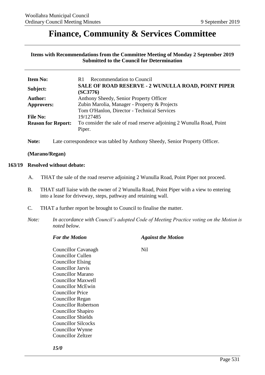### <span id="page-10-1"></span><span id="page-10-0"></span>**Finance, Community & Services Committee**

**Items with Recommendations from the Committee Meeting of Monday 2 September 2019 Submitted to the Council for Determination**

| <b>Item No:</b>           | <b>Recommendation to Council</b><br>R1                                         |  |  |
|---------------------------|--------------------------------------------------------------------------------|--|--|
| Subject:                  | SALE OF ROAD RESERVE - 2 WUNULLA ROAD, POINT PIPER<br>(SC3776)                 |  |  |
| <b>Author:</b>            | Anthony Sheedy, Senior Property Officer                                        |  |  |
| Approvers:                | Zubin Marolia, Manager - Property & Projects                                   |  |  |
|                           | Tom O'Hanlon, Director - Technical Services                                    |  |  |
| <b>File No:</b>           | 19/127485                                                                      |  |  |
| <b>Reason for Report:</b> | To consider the sale of road reserve adjoining 2 Wunulla Road, Point<br>Piper. |  |  |

**Note:** Late correspondence was tabled by Anthony Sheedy, Senior Property Officer.

#### **(Marano/Regan)**

#### **163/19 Resolved without debate:**

- A. THAT the sale of the road reserve adjoining 2 Wunulla Road, Point Piper not proceed.
- B. THAT staff liaise with the owner of 2 Wunulla Road, Point Piper with a view to entering into a lease for driveway, steps, pathway and retaining wall.
- C. THAT a further report be brought to Council to finalise the matter.
- *Note: In accordance with Council's adopted Code of Meeting Practice voting on the Motion is noted below.*

| <b>For the Motion</b>      | <b>Against the Motion</b> |
|----------------------------|---------------------------|
| Councillor Cavanagh        | Nil.                      |
| Councillor Cullen          |                           |
| <b>Councillor Elsing</b>   |                           |
| Councillor Jarvis          |                           |
| Councillor Marano          |                           |
| Councillor Maxwell         |                           |
| Councillor McEwin          |                           |
| <b>Councillor Price</b>    |                           |
| Councillor Regan           |                           |
| Councillor Robertson       |                           |
| Councillor Shapiro         |                           |
| <b>Councillor Shields</b>  |                           |
| <b>Councillor Silcocks</b> |                           |
| Councillor Wynne           |                           |
| Councillor Zeltzer         |                           |

*15/0*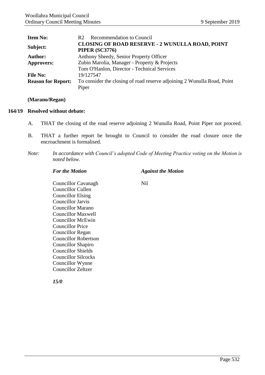<span id="page-11-0"></span>

| <b>Item No:</b>           | <b>Recommendation to Council</b><br>R2                                          |  |  |
|---------------------------|---------------------------------------------------------------------------------|--|--|
| Subject:                  | <b>CLOSING OF ROAD RESERVE - 2 WUNULLA ROAD, POINT</b><br><b>PIPER (SC3776)</b> |  |  |
| <b>Author:</b>            | Anthony Sheedy, Senior Property Officer                                         |  |  |
| <b>Approvers:</b>         | Zubin Marolia, Manager - Property & Projects                                    |  |  |
|                           | Tom O'Hanlon, Director - Technical Services                                     |  |  |
| <b>File No:</b>           | 19/127547                                                                       |  |  |
| <b>Reason for Report:</b> | To consider the closing of road reserve adjoining 2 Wunulla Road, Point         |  |  |
|                           | Piper                                                                           |  |  |

#### **(Marano/Regan)**

#### **164/19 Resolved without debate:**

- A. THAT the closing of the road reserve adjoining 2 Wunulla Road, Point Piper not proceed.
- B. THAT a further report be brought to Council to consider the road closure once the encroachment is formalised.
- *Note: In accordance with Council's adopted Code of Meeting Practice voting on the Motion is noted below.*

#### *For the Motion Against the Motion*

Councillor Cavanagh Nil Councillor Cullen Councillor Elsing Councillor Jarvis Councillor Marano Councillor Maxwell Councillor McEwin Councillor Price Councillor Regan Councillor Robertson Councillor Shapiro Councillor Shields Councillor Silcocks Councillor Wynne Councillor Zeltzer

*15/0*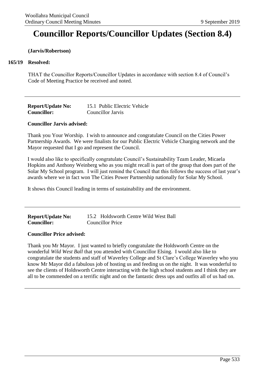## <span id="page-12-1"></span><span id="page-12-0"></span>**Councillor Reports/Councillor Updates (Section 8.4)**

#### **(Jarvis/Robertson)**

#### **165/19 Resolved:**

THAT the Councillor Reports/Councillor Updates in accordance with section 8.4 of Council's Code of Meeting Practice be received and noted.

| <b>Report/Update No:</b> | 15.1 Public Electric Vehicle |
|--------------------------|------------------------------|
| <b>Councillor:</b>       | <b>Councillor Jarvis</b>     |

#### **Councillor Jarvis advised:**

Thank you Your Worship. I wish to announce and congratulate Council on the Cities Power Partnership Awards. We were finalists for our Public Electric Vehicle Charging network and the Mayor requested that I go and represent the Council.

I would also like to specifically congratulate Council's Sustainability Team Leader, Micaela Hopkins and Anthony Weinberg who as you might recall is part of the group that does part of the Solar My School program. I will just remind the Council that this follows the success of last year's awards where we in fact won The Cities Power Partnership nationally for Solar My School.

It shows this Council leading in terms of sustainability and the environment.

| <b>Report/Update No:</b> | 15.2 Holdsworth Centre Wild West Ball |  |  |
|--------------------------|---------------------------------------|--|--|
| <b>Councillor:</b>       | <b>Councillor Price</b>               |  |  |

#### **Councillor Price advised:**

Thank you Mr Mayor. I just wanted to briefly congratulate the Holdsworth Centre on the wonderful *Wild West Ball* that you attended with Councillor Elsing. I would also like to congratulate the students and staff of Waverley College and St Clare's College Waverley who you know Mr Mayor did a fabulous job of hosting us and feeding us on the night. It was wonderful to see the clients of Holdsworth Centre interacting with the high school students and I think they are all to be commended on a terrific night and on the fantastic dress ups and outfits all of us had on.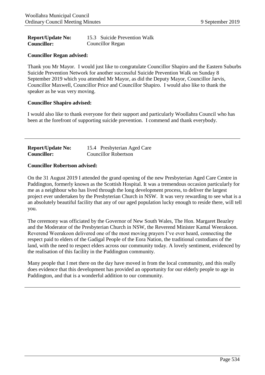<span id="page-13-0"></span>

| <b>Report/Update No:</b> | 15.3 Suicide Prevention Walk |
|--------------------------|------------------------------|
| <b>Councillor:</b>       | <b>Councillor Regan</b>      |

#### **Councillor Regan advised:**

Thank you Mr Mayor. I would just like to congratulate Councillor Shapiro and the Eastern Suburbs Suicide Prevention Network for another successful Suicide Prevention Walk on Sunday 8 September 2019 which you attended Mr Mayor, as did the Deputy Mayor, Councillor Jarvis, Councillor Maxwell, Councillor Price and Councillor Shapiro. I would also like to thank the speaker as he was very moving.

#### **Councillor Shapiro advised:**

I would also like to thank everyone for their support and particularly Woollahra Council who has been at the forefront of supporting suicide prevention. I commend and thank everybody.

| <b>Report/Update No:</b> | 15.4 Presbyterian Aged Care |  |
|--------------------------|-----------------------------|--|
| <b>Councillor:</b>       | <b>Councillor Robertson</b> |  |

#### **Councillor Robertson advised:**

On the 31 August 2019 I attended the grand opening of the new Presbyterian Aged Care Centre in Paddington, formerly known as the Scottish Hospital. It was a tremendous occasion particularly for me as a neighbour who has lived through the long development process, to deliver the largest project ever undertaken by the Presbyterian Church in NSW. It was very rewarding to see what is a an absolutely beautiful facility that any of our aged population lucky enough to reside there, will tell you.

The ceremony was officiated by the Governor of New South Wales, The Hon. Margaret Beazley and the Moderator of the Presbyterian Church in NSW, the Reverend Minister Kamal Weerakoon. Reverend Weerakoon delivered one of the most moving prayers I've ever heard, connecting the respect paid to elders of the Gadigal People of the Eora Nation, the traditional custodians of the land, with the need to respect elders across our community today. A lovely sentiment, evidenced by the realisation of this facility in the Paddington community.

Many people that I met there on the day have moved in from the local community, and this really does evidence that this development has provided an opportunity for our elderly people to age in Paddington, and that is a wonderful addition to our community.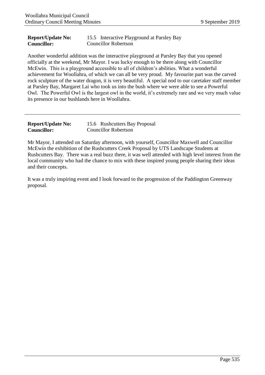#### <span id="page-14-0"></span>**Report/Update No: Councillor:** 15.5 Interactive Playground at Parsley Bay Councillor Robertson

Another wonderful addition was the interactive playground at Parsley Bay that you opened officially at the weekend, Mr Mayor. I was lucky enough to be there along with Councillor McEwin. This is a playground accessible to all of children's abilities. What a wonderful achievement for Woollahra, of which we can all be very proud. My favourite part was the carved rock sculpture of the water dragon, it is very beautiful. A special nod to our caretaker staff member at Parsley Bay, Margaret Lai who took us into the bush where we were able to see a Powerful Owl. The Powerful Owl is the largest owl in the world, it's extremely rare and we very much value its presence in our bushlands here in Woollahra.

| <b>Report/Update No:</b> | 15.6 Rushcutters Bay Proposal |
|--------------------------|-------------------------------|
| <b>Councillor:</b>       | <b>Councillor Robertson</b>   |

Mr Mayor, I attended on Saturday afternoon, with yourself, Councillor Maxwell and Councillor McEwin the exhibition of the Rushcutters Creek Proposal by UTS Landscape Students at Rushcutters Bay. There was a real buzz there, it was well attended with high level interest from the local community who had the chance to mix with these inspired young people sharing their ideas and their concepts.

It was a truly inspiring event and I look forward to the progression of the Paddington Greenway proposal.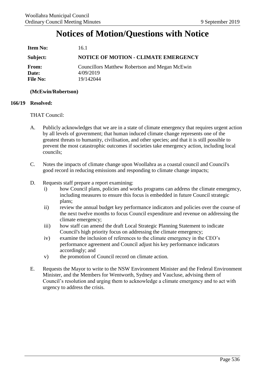## **Notices of Motion/Questions with Notice**

<span id="page-15-1"></span><span id="page-15-0"></span>

| <b>Item No:</b>                   | 16.1                                                                     |
|-----------------------------------|--------------------------------------------------------------------------|
| Subject:                          | <b>NOTICE OF MOTION - CLIMATE EMERGENCY</b>                              |
| From:<br>Date:<br><b>File No:</b> | Councillors Matthew Robertson and Megan McEwin<br>4/09/2019<br>19/142044 |

### **(McEwin/Robertson)**

### **166/19 Resolved:**

#### THAT Council:

- A. Publicly acknowledges that we are in a state of climate emergency that requires urgent action by all levels of government; that human induced climate change represents one of the greatest threats to humanity, civilisation, and other species; and that it is still possible to prevent the most catastrophic outcomes if societies take emergency action, including local councils;
- C. Notes the impacts of climate change upon Woollahra as a coastal council and Council's good record in reducing emissions and responding to climate change impacts;
- D. Requests staff prepare a report examining:
	- i) how Council plans, policies and works programs can address the climate emergency, including measures to ensure this focus is embedded in future Council strategic plans;
	- ii) review the annual budget key performance indicators and policies over the course of the next twelve months to focus Council expenditure and revenue on addressing the climate emergency;
	- iii) how staff can amend the draft Local Strategic Planning Statement to indicate Council's high priority focus on addressing the climate emergency;
	- iv) examine the inclusion of references to the climate emergency in the CEO's performance agreement and Council adjust his key performance indicators accordingly; and
	- v) the promotion of Council record on climate action.
- E. Requests the Mayor to write to the NSW Environment Minister and the Federal Environment Minister, and the Members for Wentworth, Sydney and Vaucluse, advising them of Council's resolution and urging them to acknowledge a climate emergency and to act with urgency to address the crisis.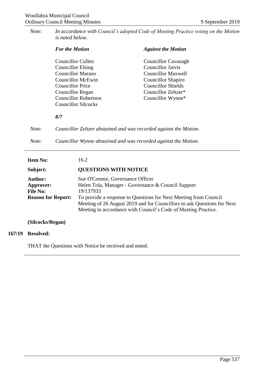<span id="page-16-0"></span>*Note: In accordance with Council's adopted Code of Meeting Practice voting on the Motion is noted below.*

|       | <b>For the Motion</b>                                             | <b>Against the Motion</b> |
|-------|-------------------------------------------------------------------|---------------------------|
|       | Councillor Cullen                                                 | Councillor Cavanagh       |
|       | <b>Councillor Elsing</b>                                          | <b>Councillor Jarvis</b>  |
|       | Councillor Marano                                                 | <b>Councillor Maxwell</b> |
|       | Councillor McEwin                                                 | Councillor Shapiro        |
|       | <b>Councillor Price</b>                                           | <b>Councillor Shields</b> |
|       | Councillor Regan                                                  | Councillor Zeltzer*       |
|       | <b>Councillor Robertson</b>                                       | Councillor Wynne*         |
|       | <b>Councillor Silcocks</b>                                        |                           |
|       | 8/7                                                               |                           |
| Note: | Councillor Zeltzer abstained and was recorded against the Motion. |                           |
| Note: | Councillor Wynne abstained and was recorded against the Motion.   |                           |
|       |                                                                   |                           |

**Item No:** 16.2

### **Subject: QUESTIONS WITH NOTICE**

| <b>Author:</b>            | Sue O'Connor, Governance Officer                                                                                                                                                                              |  |
|---------------------------|---------------------------------------------------------------------------------------------------------------------------------------------------------------------------------------------------------------|--|
| Approver:                 | Helen Tola, Manager - Governance & Council Support                                                                                                                                                            |  |
| <b>File No:</b>           | 19/137933                                                                                                                                                                                                     |  |
| <b>Reason for Report:</b> | To provide a response to Questions for Next Meeting from Council<br>Meeting of 26 August 2019 and for Councillors to ask Questions for Next<br>Meeting in accordance with Council's Code of Meeting Practice. |  |

**(Silcocks/Regan)**

#### **167/19 Resolved:**

THAT the Questions with Notice be received and noted.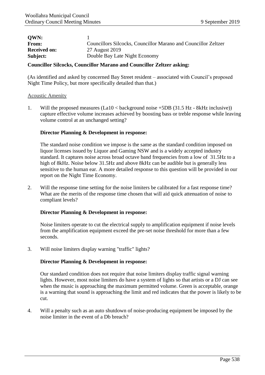<span id="page-17-0"></span>

| Councillors Silcocks, Councillor Marano and Councillor Zeltzer |
|----------------------------------------------------------------|
| 27 August 2019                                                 |
| Double Bay Late Night Economy                                  |
|                                                                |

#### **Councillor Silcocks, Councillor Marano and Councillor Zeltzer asking:**

(As identified and asked by concerned Bay Street resident – associated with Council's proposed Night Time Policy, but more specifically detailed than that.)

#### Acoustic Amenity

1. Will the proposed measures (La10 < background noise +5DB (31.5 Hz - 8kHz inclusive)) capture effective volume increases achieved by boosting bass or treble response while leaving volume control at an unchanged setting?

#### **Director Planning & Development in response:**

The standard noise condition we impose is the same as the standard condition imposed on liquor licenses issued by Liquor and Gaming NSW and is a widely accepted industry standard. It captures noise across broad octave band frequencies from a low of 31.5Hz to a high of 8kHz. Noise below 31.5Hz and above 8kHz can be audible but is generally less sensitive to the human ear. A more detailed response to this question will be provided in our report on the Night Time Economy.

2. Will the response time setting for the noise limiters be calibrated for a fast response time? What are the merits of the response time chosen that will aid quick attenuation of noise to compliant levels?

#### **Director Planning & Development in response:**

Noise limiters operate to cut the electrical supply to amplification equipment if noise levels from the amplification equipment exceed the pre-set noise threshold for more than a few seconds.

3. Will noise limiters display warning "traffic" lights?

### **Director Planning & Development in response:**

Our standard condition does not require that noise limiters display traffic signal warning lights. However, most noise limiters do have a system of lights so that artists or a DJ can see when the music is approaching the maximum permitted volume. Green is acceptable, orange is a warning that sound is approaching the limit and red indicates that the power is likely to be cut.

4. Will a penalty such as an auto shutdown of noise-producing equipment be imposed by the noise limiter in the event of a Db breach?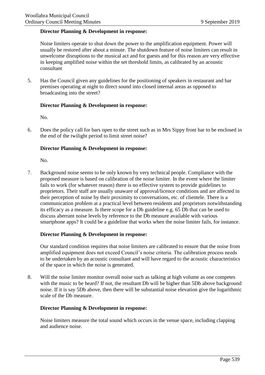#### **Director Planning & Development in response:**

Noise limiters operate to shut down the power to the amplification equipment. Power will usually be restored after about a minute. The shutdown feature of noise limiters can result in unwelcome disruptions to the musical act and for guests and for this reason are very effective in keeping amplified noise within the set threshold limits, as calibrated by an acoustic consultant

5. Has the Council given any guidelines for the positioning of speakers in restaurant and bar premises operating at night to direct sound into closed internal areas as opposed to broadcasting into the street?

#### **Director Planning & Development in response:**

No.

6. Does the policy call for bars open to the street such as in Mrs Sippy front bar to be enclosed in the end of the twilight period to limit street noise?

#### **Director Planning & Development in response:**

No.

7. Background noise seems to be only known by very technical people. Compliance with the proposed measure is based on calibration of the noise limiter. In the event where the limiter fails to work (for whatever reason) there is no effective system to provide guidelines to proprietors. Their staff are usually unaware of approval/licence conditions and are affected in their perception of noise by their proximity to conversations, etc. of clientele. There is a communication problem at a practical level between residents and proprietors notwithstanding its efficacy as a measure. Is there scope for a Db guideline e.g. 65 Db that can be used to discuss aberrant noise levels by reference to the Db measure available with various smartphone apps? It could be a guideline that works when the noise limiter fails, for instance.

#### **Director Planning & Development in response:**

Our standard condition requires that noise limiters are calibrated to ensure that the noise from amplified equipment does not exceed Council's noise criteria. The calibration process needs to be undertaken by an acoustic consultant and will have regard to the acoustic characteristics of the space in which the noise is generated.

8. Will the noise limiter monitor overall noise such as talking at high volume as one competes with the music to be heard? If not, the resultant Db will be higher than 5Db above background noise. If it is say 5Db above, then there will be substantial noise elevation give the logarithmic scale of the Db measure.

#### **Director Planning & Development in response:**

Noise limiters measure the total sound which occurs in the venue space, including clapping and audience noise.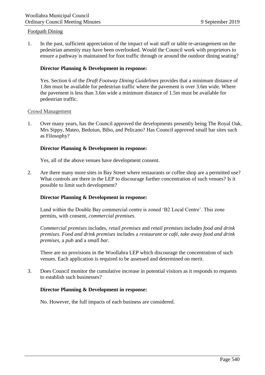#### Footpath Dining

1. In the past, sufficient appreciation of the impact of wait staff or table re-arrangement on the pedestrian amenity may have been overlooked. Would the Council work with proprietors to ensure a pathway is maintained for foot traffic through or around the outdoor dining seating?

#### **Director Planning & Development in response:**

Yes. Section 6 of the *Draft Footway Dining Guidelines* provides that a minimum distance of 1.8m must be available for pedestrian traffic where the pavement is over 3.6m wide. Where the pavement is less than 3.6m wide a minimum distance of 1.5m must be available for pedestrian traffic.

#### Crowd Management

1. Over many years, has the Council approved the developments presently being The Royal Oak, Mrs Sippy, Mateo, Bedoiun, Bibo, and Pelicano? Has Council approved small bar sites such as Filosophy?

#### **Director Planning & Development in response:**

Yes, all of the above venues have development consent.

2. Are there many more sites in Bay Street where restaurants or coffee shop are a permitted use? What controls are there in the LEP to discourage further concentration of such venues? Is it possible to limit such development?

#### **Director Planning & Development in response:**

Land within the Double Bay commercial centre is zoned 'B2 Local Centre'. This zone permits, with consent, *commercial premises*.

*Commercial premises* includes*, retail premises* and *retail premises* includes *food and drink premises*. *Food and drink premises* includes a *restaurant* or *café*, *take away food and drink premises*, a *pub* and a *small bar*.

There are no provisions in the Woollahra LEP which discourage the concentration of such venues. Each application is required to be assessed and determined on merit.

3. Does Council monitor the cumulative increase in potential visitors as it responds to requests to establish such businesses?

#### **Director Planning & Development in response:**

No. However, the full impacts of each business are considered.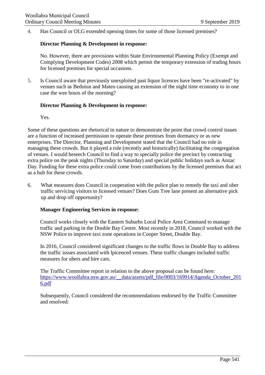4. Has Council or OLG extended opening times for some of those licensed premises?

#### **Director Planning & Development in response:**

No. However, there are provisions within State Environmental Planning Policy (Exempt and Complying Development Codes) 2008 which permit the temporary extension of trading hours for licensed premises for special occasions.

5. Is Council aware that previously unexploited past liquor licences have been "re-activated" by venues such as Bedoiun and Mateo causing an extension of the night time economy to in one case the wee hours of the morning?

#### **Director Planning & Development in response:**

Yes.

Some of these questions are rhetorical in nature to demonstrate the point that crowd control issues are a function of increased permission to operate these premises from dormancy or as new enterprises. The Director, Planning and Development stated that the Council had no role in managing these crowds. But it played a role (recently and historically) facilitating the congregation of venues. I would beseech Council to find a way to specially police the precinct by contracting extra police on the peak nights (Thursday to Saturday) and special public holidays such as Anzac Day. Funding for these extra police could come from contributions by the licensed premises that act as a hub for these crowds.

6. What measures does Council in cooperation with the police plan to remedy the taxi and uber traffic servicing visitors to licensed venues? Does Gum Tree lane present an alternative pick up and drop off opportunity?

### **Manager Engineering Services in response:**

Council works closely with the Eastern Suburbs Local Police Area Command to manage traffic and parking in the Double Bay Centre. Most recently in 2018, Council worked with the NSW Police to improve taxi zone operations in Cooper Street, Double Bay.

In 2016, Council considered significant changes to the traffic flows in Double Bay to address the traffic issues associated with lpicenced venues. These traffic changes included traffic measures for ubers and hire cars.

The Traffic Committee report in relation to the above proposal can be found here: [https://www.woollahra.nsw.gov.au/\\_\\_data/assets/pdf\\_file/0003/169914/Agenda\\_October\\_201](https://www.woollahra.nsw.gov.au/__data/assets/pdf_file/0003/169914/Agenda_October_2016.pdf) [6.pdf](https://www.woollahra.nsw.gov.au/__data/assets/pdf_file/0003/169914/Agenda_October_2016.pdf)

Subsequently, Council considered the recommendations endorsed by the Traffic Committee and resolved: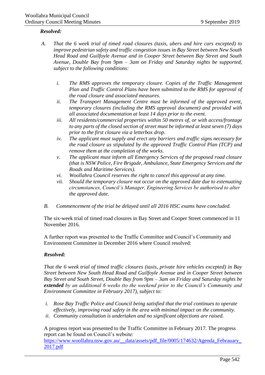#### *Resolved:*

- *A. That the 6 week trial of timed road closures (taxis, ubers and hire cars excepted) to improve pedestrian safety and traffic congestion issues in Bay Street between New South Head Road and Guilfoyle Avenue and in Cooper Street between Bay Street and South Avenue, Double Bay from 9pm – 3am on Friday and Saturday nights be supported, subject to the following conditions:*
	- *i. The RMS approves the temporary closure. Copies of the Traffic Management Plan and Traffic Control Plans have been submitted to the RMS for approval of the road closure and associated measures.*
	- *ii. The Transport Management Centre must be informed of the approved event, temporary closures (including the RMS approval document) and provided with all associated documentation at least 14 days prior to the event.*
	- *iii. All residents/commercial properties within 50 metres of, or with access/frontage to any parts of the closed section of street must be informed at least seven (7) days prior to the first closure via a letterbox drop.*
	- *iv. The applicant must supply and erect any barriers and traffic signs necessary for the road closure as stipulated by the approved Traffic Control Plan (TCP) and remove them at the completion of the works.*
	- *v. The applicant must inform all Emergency Services of the proposed road closure (that is NSW Police, Fire Brigade, Ambulance, State Emergency Services and the Roads and Maritime Services).*
	- *vi. Woollahra Council reserves the right to cancel this approval at any time.*
	- *vii. Should the temporary closure not occur on the approved date due to extenuating circumstances, Council's Manager, Engineering Services be authorised to alter the approved date.*
	- *B. Commencement of the trial be delayed until all 2016 HSC exams have concluded.*

The six-week trial of timed road closures in Bay Street and Cooper Street commenced in 11 November 2016.

A further report was presented to the Traffic Committee and Council's Community and Environment Committee in December 2016 where Council resolved:

### *Resolved:*

*That the 6 week trial of timed traffic closures (taxis, private hire vehicles excepted) in Bay Street between New South Head Road and Guilfoyle Avenue and in Cooper Street between Bay Street and South Street, Double Bay from 9pm – 3am on Friday and Saturday nights be extended by an additional 6 weeks (to the weekend prior to the Council's Community and Environment Committee in February 2017), subject to:*

- *i. Rose Bay Traffic Police and Council being satisfied that the trial continues to operate effectively, improving road safety in the area with minimal impact on the community.*
- *ii. Community consultation is undertaken and no significant objections are raised.*

A progress report was presented to the Traffic Committee in February 2017. The progress report can be found on Council's website:

[https://www.woollahra.nsw.gov.au/\\_\\_data/assets/pdf\\_file/0005/174632/Agenda\\_Febrauary\\_](https://www.woollahra.nsw.gov.au/__data/assets/pdf_file/0005/174632/Agenda_Febrauary_2017.pdf) [2017.pdf](https://www.woollahra.nsw.gov.au/__data/assets/pdf_file/0005/174632/Agenda_Febrauary_2017.pdf)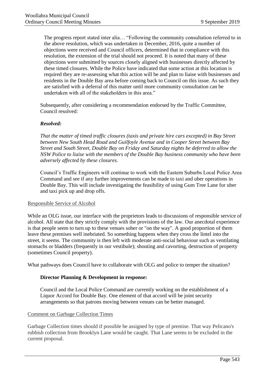The progress report stated inter alia… "Following the community consultation referred to in the above resolution, which was undertaken in December, 2016, quite a number of objections were received and Council officers, determined that in compliance with this resolution, the extension of the trial should not proceed. It is noted that many of these objections were submitted by sources closely aligned with businesses directly affected by these timed closures. While the Police have indicated that some action at this location is required they are re-assessing what this action will be and plan to liaise with businesses and residents in the Double Bay area before coming back to Council on this issue. As such they are satisfied with a deferral of this matter until more community consultation can be undertaken with all of the stakeholders in this area."

Subsequently, after considering a recommendation endorsed by the Traffic Committee, Council resolved:

#### *Resolved:*

*That the matter of timed traffic closures (taxis and private hire cars excepted) in Bay Street between New South Head Road and Guilfoyle Avenue and in Cooper Street between Bay Street and South Street, Double Bay on Friday and Saturday nights be deferred to allow the NSW Police to liaise with the members of the Double Bay business community who have been adversely affected by these closures.*

Council's Traffic Engineers will continue to work with the Eastern Suburbs Local Police Area Command and see if any further improvements can be made to taxi and uber operations in Double Bay. This will include investigating the feasibility of using Gum Tree Lane for uber and taxi pick up and drop offs.

#### Responsible Service of Alcohol

While an OLG issue, our interface with the proprietors leads to discussions of responsible service of alcohol. All state that they strictly comply with the provisions of the law. Our anecdotal experience is that people seem to turn up to these venues sober or "on the way". A good proportion of them leave these premises well inebriated. So something happens when they cross the lintel into the street, it seems. The community is then left with moderate anti-social behaviour such as ventilating stomachs or bladders (frequently in our vestibule); shouting and cavorting, destruction of property (sometimes Council property).

What pathways does Council have to collaborate with OLG and police to temper the situation?

### **Director Planning & Development in response:**

Council and the Local Police Command are currently working on the establishment of a Liquor Accord for Double Bay. One element of that accord will be joint security arrangements so that patrons moving between venues can be better managed.

#### Comment on Garbage Collection Times

Garbage Collection times should if possible be assigned by type of premise. That way Pelicano's rubbish collection from Brooklyn Lane would be caught. That Lane seems to be excluded in the current proposal.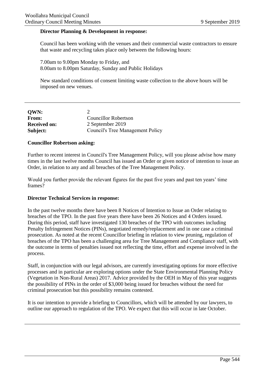#### <span id="page-23-0"></span>**Director Planning & Development in response:**

Council has been working with the venues and their commercial waste contractors to ensure that waste and recycling takes place only between the following hours:

7.00am to 9.00pm Monday to Friday, and 8.00am to 8.00pm Saturday, Sunday and Public Holidays

New standard conditions of consent limiting waste collection to the above hours will be imposed on new venues.

| <b>OWN:</b>         |                                         |
|---------------------|-----------------------------------------|
| <b>From:</b>        | <b>Councillor Robertson</b>             |
| <b>Received on:</b> | 2 September 2019                        |
| Subject:            | <b>Council's Tree Management Policy</b> |

#### **Councillor Robertson asking:**

Further to recent interest in Council's Tree Management Policy, will you please advise how many times in the last twelve months Council has issued an Order or given notice of intention to issue an Order, in relation to any and all breaches of the Tree Management Policy.

Would you further provide the relevant figures for the past five years and past ten years' time frames?

#### **Director Technical Services in response:**

In the past twelve months there have been 8 Notices of Intention to Issue an Order relating to breaches of the TPO. In the past five years there have been 26 Notices and 4 Orders issued. During this period, staff have investigated 130 breaches of the TPO with outcomes including Penalty Infringement Notices (PINs), negotiated remedy/replacement and in one case a criminal prosecution. As noted at the recent Councillor briefing in relation to view pruning, regulation of breaches of the TPO has been a challenging area for Tree Management and Compliance staff, with the outcome in terms of penalties issued not reflecting the time, effort and expense involved in the process.

Staff, in conjunction with our legal advisors, are currently investigating options for more effective processes and in particular are exploring options under the State Environmental Planning Policy (Vegetation in Non-Rural Areas) 2017. Advice provided by the OEH in May of this year suggests the possibility of PINs in the order of \$3,000 being issued for breaches without the need for criminal prosecution but this possibility remains contested.

It is our intention to provide a briefing to Councillors, which will be attended by our lawyers, to outline our approach to regulation of the TPO. We expect that this will occur in late October.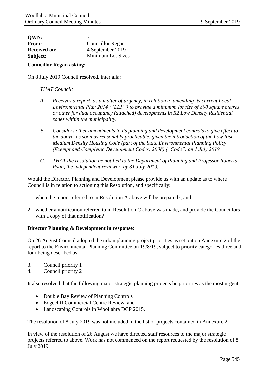<span id="page-24-0"></span>

| <b>OWN:</b>         | 3                       |
|---------------------|-------------------------|
| From:               | <b>Councillor Regan</b> |
| <b>Received on:</b> | 4 September 2019        |
| Subject:            | Minimum Lot Sizes       |

#### **Councillor Regan asking:**

On 8 July 2019 Council resolved, inter alia:

#### *THAT Council:*

- *A. Receives a report, as a matter of urgency, in relation to amending its current Local Environmental Plan 2014 ("LEP") to provide a minimum lot size of 800 square metres or other for dual occupancy (attached) developments in R2 Low Density Residential zones within the municipality.*
- *B. Considers other amendments to its planning and development controls to give effect to the above, as soon as reasonably practicable, given the introduction of the Low Rise Medium Density Housing Code (part of the State Environmental Planning Policy (Exempt and Complying Development Codes) 2008) ("Code") on 1 July 2019.*
- *C. THAT the resolution be notified to the Department of Planning and Professor Roberta Ryan, the independent reviewer, by 31 July 2019.*

Would the Director, Planning and Development please provide us with an update as to where Council is in relation to actioning this Resolution, and specifically:

- 1. when the report referred to in Resolution A above will be prepared?; and
- 2. whether a notification referred to in Resolution C above was made, and provide the Councillors with a copy of that notification?

#### **Director Planning & Development in response:**

On 26 August Council adopted the urban planning project priorities as set out on Annexure 2 of the report to the Environmental Planning Committee on 19/8/19, subject to priority categories three and four being described as:

- 3. Council priority 1
- 4. Council priority 2

It also resolved that the following major strategic planning projects be priorities as the most urgent:

- Double Bay Review of Planning Controls
- Edgecliff Commercial Centre Review, and
- Landscaping Controls in Woollahra DCP 2015.

The resolution of 8 July 2019 was not included in the list of projects contained in Annexure 2.

In view of the resolution of 26 August we have directed staff resources to the major strategic projects referred to above. Work has not commenced on the report requested by the resolution of 8 July 2019.